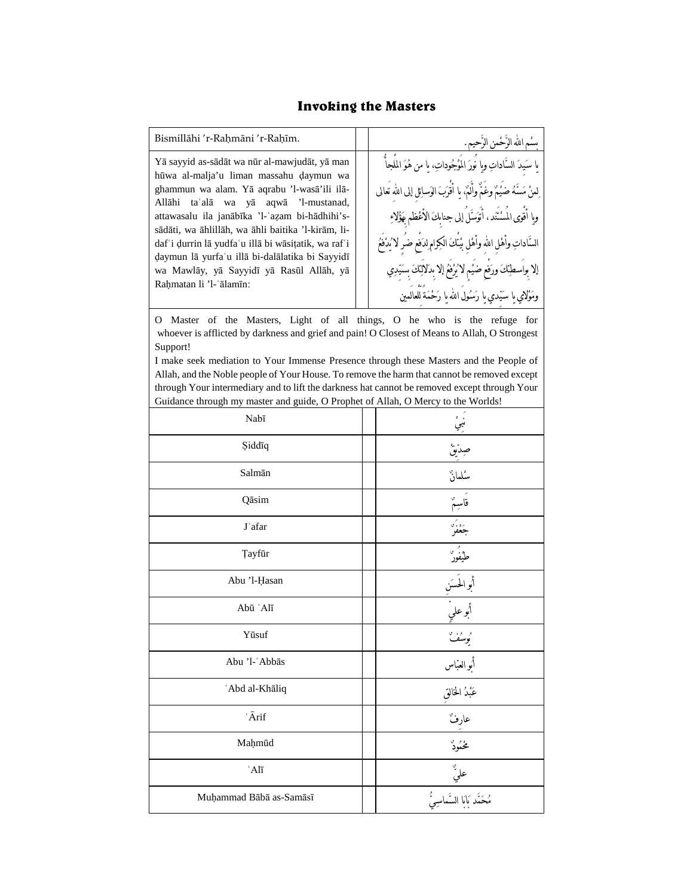## **Invoking the Masters**

| Bismillāhi 'r-Rahmāni 'r-Rahīm.                                                                                                                                                                                                                                                                                                                                                                                                                                           |  | بسُم الله الرَّحْمن الرَّحيم.                                                                                                                                                                                                                                                                                                                                                                                                     |  |  |
|---------------------------------------------------------------------------------------------------------------------------------------------------------------------------------------------------------------------------------------------------------------------------------------------------------------------------------------------------------------------------------------------------------------------------------------------------------------------------|--|-----------------------------------------------------------------------------------------------------------------------------------------------------------------------------------------------------------------------------------------------------------------------------------------------------------------------------------------------------------------------------------------------------------------------------------|--|--|
| Yā sayyid as-sādāt wa nūr al-mawjudāt, yā man<br>hūwa al-malja'u liman massahu daymun wa<br>ghammun wa alam. Yā aqrabu 'l-wasā'ili ilā-<br>Allāhi taʿalā wa yā aqwā 'l-mustanad,<br>attawasalu ila janābīka 'l-'azam bi-hādhihi's-<br>sādāti, wa āhlillāh, wa āhli baitika 'l-kirām, li-<br>daf'i durrin lā yudfa'u illā bi wāsitatik, wa raf'i<br>daymun lā yurfa'u illā bi-dalālatika bi Sayyidī<br>wa Mawlāy, yā Sayyidī yā Rasūl Allāh, yā<br>Rahmatan li 'l-'ālamīn: |  | يا سَيدَ السَّاداتِ وبِا نَورَ المُوْجُوداتِ، يا من هُوَ الملجأ<br>لِمنْ مَسَّهُ ضَيْمٌ وغُمٌّ وأَلَمٌ، يا أَقْرَبَ الوَسائِلِ إلى الله تعالى<br>وِا أَقوى المَسْنَد ، أَتَوَسَّلَ إلى جنابِكَ الأَعْظمِ بَهَؤُلاءِ<br>السَّاداتِ وأهْلِ اللهِ وأهْلِ بْيتكَ الكِرامِ لدَفعِ ضَرِ لا يُدْفَعُ<br>إلا بِواسطِنكَ ورَفعٍ ضَيْمٍ لاَ يُرْفَعُ إلا بِدَلالِنكَ سِنَيْدِي<br>وَمَوْلَامِي يا سَيّدي يا رَسُول الله يا رَحْمَة للعالمين |  |  |
| O Master of the Masters, Light of all things, O he who is the refuge for<br>whoever is afflicted by darkness and grief and pain! O Closest of Means to Allah, O Strongest<br>Support!<br>I arche cech architektua de Vena Iararenez Darrenez diarrel diese Mesdean en John Decale of                                                                                                                                                                                      |  |                                                                                                                                                                                                                                                                                                                                                                                                                                   |  |  |

I make seek mediation to Your Immense Presence through these Masters and the People of Allah, and the Noble people of Your House. To remove the harm that cannot be removed except through Your intermediary and to lift the darkness hat cannot be removed except through Your Guidance through my master and guide, O Prophet of Allah, O Mercy to the Worlds!

| Nabī                          |                            |
|-------------------------------|----------------------------|
| Şiddīq                        | َ<br>ښي<br>صِدّيقْ         |
| Salmān                        | .<br>سىلمان                |
| Qāsim                         | فأسبأ                      |
| J'afar                        | پروتر<br>جعفر              |
| <b>Tayfūr</b>                 | <del>ر</del><br>طيفور<br>— |
| Abu 'l-Hasan                  | أبو الحَسَن<br>أبو علميّ   |
| Abū 'Alī                      |                            |
| Yūsuf                         | و و.<br>يوسف               |
| Abu 'l-'Abbās                 | أُبو العبّاس               |
| 'Abd al-Khāliq                |                            |
| ${}^\cdot\bar{A}\mathrm{rif}$ | عارفٌ                      |
| Maḥmūd                        | مخمود                      |
| $^{\circ}$ Alī                | عليٌ                       |
| Muḥammad Bābā as-Samāsī       |                            |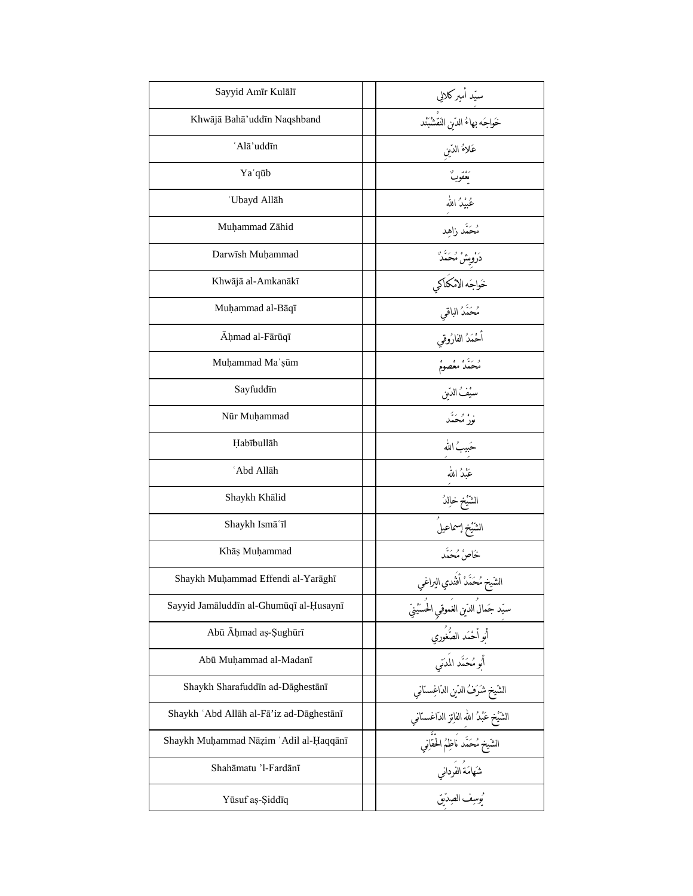| Sayyid Amīr Kulālī                       | سیّد أمیرکلالي                                                                                                   |
|------------------------------------------|------------------------------------------------------------------------------------------------------------------|
| Khwājā Bahā'uddīn Naqshband              |                                                                                                                  |
| 'Alā'uddīn                               | عَلاءُ الدّين                                                                                                    |
| Ya`qūb                                   | ره.<br>ن <b>عقو</b> ب                                                                                            |
| 'Ubayd Allāh                             | عُبْدُ الله                                                                                                      |
| Muhammad Zāhid                           | مُحَمَّد زاهد                                                                                                    |
| Darwish Muhammad                         | دَرْوِيشْ مُحَمَّدٌ                                                                                              |
| Khwājā al-Amkanākī                       | خَواجَه الامْكَتَاكي                                                                                             |
| Muḥammad al-Bāqī                         | مُحَمَّدُ الباقي                                                                                                 |
| Ahmad al-Fārūqī                          | أحْمَدُ الفارُوقي                                                                                                |
| Muḥammad Maʿşūm                          | مُحَمَّدُ معْصومُ                                                                                                |
| Sayfuddīn                                | سيُفُ الدَّبن                                                                                                    |
| Nūr Muhammad                             | . <i>، و ب</i> َ<br>نور مُحَمَّد                                                                                 |
| Habībullāh                               | حَبيبُ الله                                                                                                      |
| 'Abd Allāh                               | عُنْدُ الله                                                                                                      |
| Shaykh Khālid                            | الشَّيْخ خاِلدُ                                                                                                  |
| Shaykh Ismā'īl                           | الشَّيْخ إسماعيلُ                                                                                                |
| Khāṣ Muḥammad                            | خَاصْ مُحَمَّد                                                                                                   |
| Shaykh Muḥammad Effendi al-Yarāghī       | الشّيخ مُحَمَّدْ أَفْندي البراغي                                                                                 |
| Sayyid Jamāluddīn al-Ghumūqī al-Ḥusaynī  |                                                                                                                  |
| Abū Āḥmad aṣ-Şughūrī                     | سيّد جَمالُ الدّينِ الغَموقيِ الحُس <u>َنْيِيِّ</u><br>أَبو أَحْمَد الصَّغُوري<br>أَبو مُحَمَّد المَد <i>ّني</i> |
| Abū Muḥammad al-Madanī                   |                                                                                                                  |
| Shaykh Sharafuddīn ad-Dāghestānī         | الشّيخ شَرَفُ الدّين الدّاغِستاني                                                                                |
| Shaykh 'Abd Allāh al-Fā'iz ad-Dāghestānī | الشَّيْخ عَبْدُ اللهِ الفائِز الدّاغستاني                                                                        |
| Shaykh Muhammad Nāzim 'Adil al-Ḥaqqānī   |                                                                                                                  |
| Shahāmatu 'l-Fardānī                     |                                                                                                                  |
| Yūsuf aș-Şiddīq                          | شَهَامَةَ الفُرداني<br>مُصِيف الصِدّيق                                                                           |